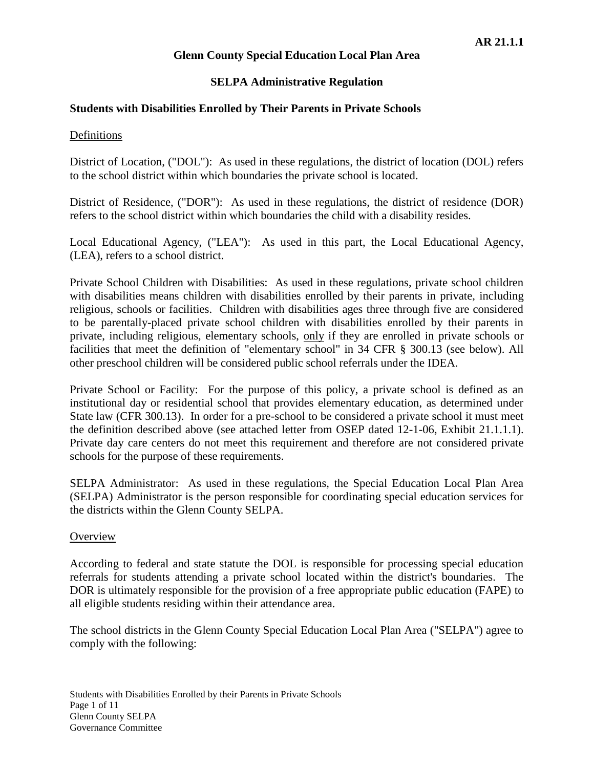# **SELPA Administrative Regulation**

# **Students with Disabilities Enrolled by Their Parents in Private Schools**

## Definitions

District of Location, ("DOL"): As used in these regulations, the district of location (DOL) refers to the school district within which boundaries the private school is located.

District of Residence, ("DOR"): As used in these regulations, the district of residence (DOR) refers to the school district within which boundaries the child with a disability resides.

Local Educational Agency, ("LEA"): As used in this part, the Local Educational Agency, (LEA), refers to a school district.

Private School Children with Disabilities: As used in these regulations, private school children with disabilities means children with disabilities enrolled by their parents in private, including religious, schools or facilities. Children with disabilities ages three through five are considered to be parentally-placed private school children with disabilities enrolled by their parents in private, including religious, elementary schools, only if they are enrolled in private schools or facilities that meet the definition of "elementary school" in 34 CFR § 300.13 (see below). All other preschool children will be considered public school referrals under the IDEA.

Private School or Facility: For the purpose of this policy, a private school is defined as an institutional day or residential school that provides elementary education, as determined under State law (CFR 300.13). In order for a pre-school to be considered a private school it must meet the definition described above (see attached letter from OSEP dated 12-1-06, Exhibit 21.1.1.1). Private day care centers do not meet this requirement and therefore are not considered private schools for the purpose of these requirements.

SELPA Administrator: As used in these regulations, the Special Education Local Plan Area (SELPA) Administrator is the person responsible for coordinating special education services for the districts within the Glenn County SELPA.

## **Overview**

According to federal and state statute the DOL is responsible for processing special education referrals for students attending a private school located within the district's boundaries. The DOR is ultimately responsible for the provision of a free appropriate public education (FAPE) to all eligible students residing within their attendance area.

The school districts in the Glenn County Special Education Local Plan Area ("SELPA") agree to comply with the following: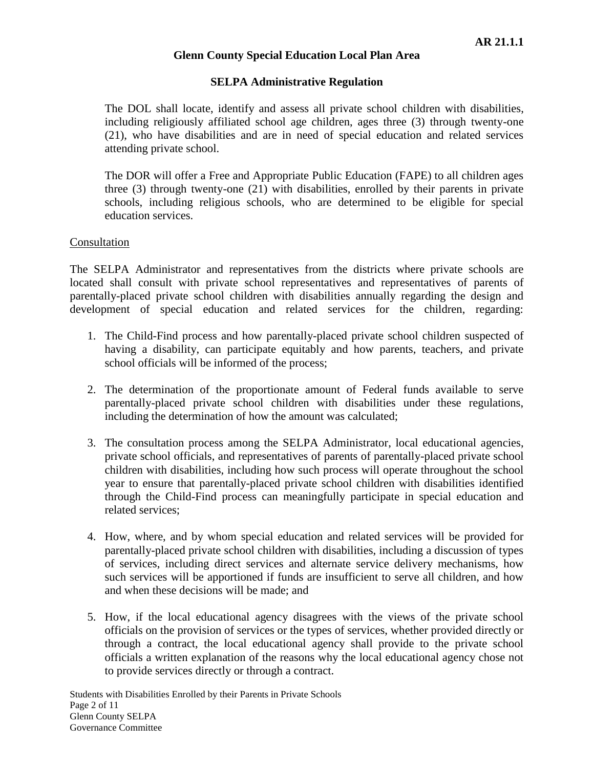# **SELPA Administrative Regulation**

The DOL shall locate, identify and assess all private school children with disabilities, including religiously affiliated school age children, ages three (3) through twenty-one (21), who have disabilities and are in need of special education and related services attending private school.

The DOR will offer a Free and Appropriate Public Education (FAPE) to all children ages three (3) through twenty-one (21) with disabilities, enrolled by their parents in private schools, including religious schools, who are determined to be eligible for special education services.

## Consultation

The SELPA Administrator and representatives from the districts where private schools are located shall consult with private school representatives and representatives of parents of parentally-placed private school children with disabilities annually regarding the design and development of special education and related services for the children, regarding:

- 1. The Child-Find process and how parentally-placed private school children suspected of having a disability, can participate equitably and how parents, teachers, and private school officials will be informed of the process;
- 2. The determination of the proportionate amount of Federal funds available to serve parentally-placed private school children with disabilities under these regulations, including the determination of how the amount was calculated;
- 3. The consultation process among the SELPA Administrator, local educational agencies, private school officials, and representatives of parents of parentally-placed private school children with disabilities, including how such process will operate throughout the school year to ensure that parentally-placed private school children with disabilities identified through the Child-Find process can meaningfully participate in special education and related services;
- 4. How, where, and by whom special education and related services will be provided for parentally-placed private school children with disabilities, including a discussion of types of services, including direct services and alternate service delivery mechanisms, how such services will be apportioned if funds are insufficient to serve all children, and how and when these decisions will be made; and
- 5. How, if the local educational agency disagrees with the views of the private school officials on the provision of services or the types of services, whether provided directly or through a contract, the local educational agency shall provide to the private school officials a written explanation of the reasons why the local educational agency chose not to provide services directly or through a contract.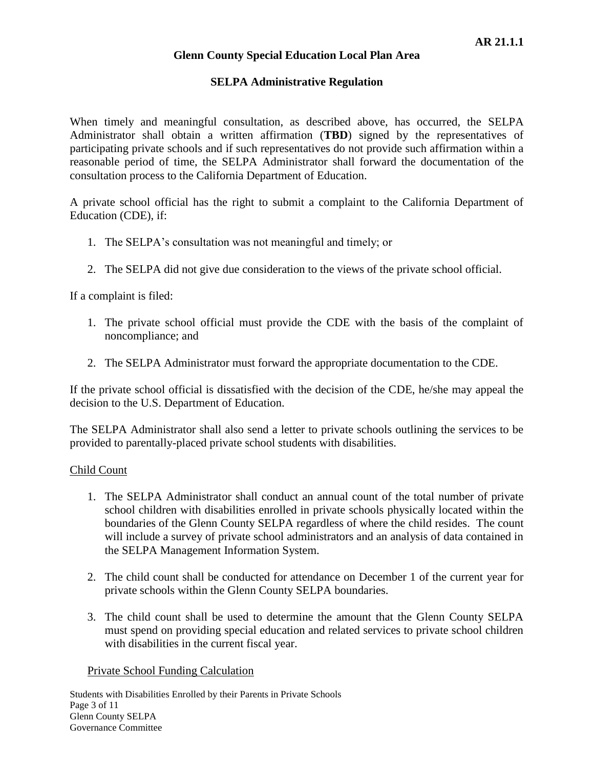### **SELPA Administrative Regulation**

When timely and meaningful consultation, as described above, has occurred, the SELPA Administrator shall obtain a written affirmation (**TBD**) signed by the representatives of participating private schools and if such representatives do not provide such affirmation within a reasonable period of time, the SELPA Administrator shall forward the documentation of the consultation process to the California Department of Education.

A private school official has the right to submit a complaint to the California Department of Education (CDE), if:

- 1. The SELPA's consultation was not meaningful and timely; or
- 2. The SELPA did not give due consideration to the views of the private school official.

If a complaint is filed:

- 1. The private school official must provide the CDE with the basis of the complaint of noncompliance; and
- 2. The SELPA Administrator must forward the appropriate documentation to the CDE.

If the private school official is dissatisfied with the decision of the CDE, he/she may appeal the decision to the U.S. Department of Education.

The SELPA Administrator shall also send a letter to private schools outlining the services to be provided to parentally-placed private school students with disabilities.

#### Child Count

- 1. The SELPA Administrator shall conduct an annual count of the total number of private school children with disabilities enrolled in private schools physically located within the boundaries of the Glenn County SELPA regardless of where the child resides. The count will include a survey of private school administrators and an analysis of data contained in the SELPA Management Information System.
- 2. The child count shall be conducted for attendance on December 1 of the current year for private schools within the Glenn County SELPA boundaries.
- 3. The child count shall be used to determine the amount that the Glenn County SELPA must spend on providing special education and related services to private school children with disabilities in the current fiscal year.

#### Private School Funding Calculation

Students with Disabilities Enrolled by their Parents in Private Schools Page 3 of 11 Glenn County SELPA Governance Committee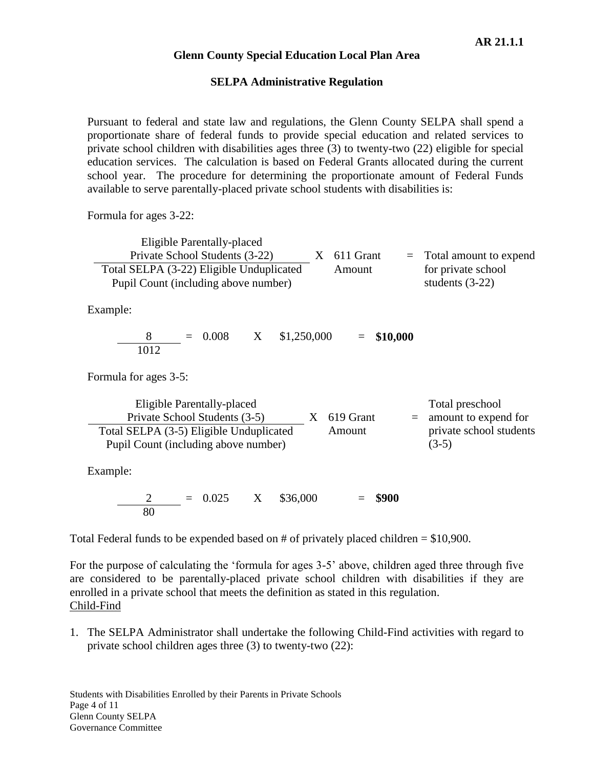#### **SELPA Administrative Regulation**

Pursuant to federal and state law and regulations, the Glenn County SELPA shall spend a proportionate share of federal funds to provide special education and related services to private school children with disabilities ages three (3) to twenty-two (22) eligible for special education services. The calculation is based on Federal Grants allocated during the current school year. The procedure for determining the proportionate amount of Federal Funds available to serve parentally-placed private school students with disabilities is:

Formula for ages 3-22:

| Eligible Parentally-placed               |               |                            |
|------------------------------------------|---------------|----------------------------|
| Private School Students (3-22)           | $X$ 611 Grant | $=$ Total amount to expend |
| Total SELPA (3-22) Eligible Unduplicated | Amount        | for private school         |
| Pupil Count (including above number)     |               | students $(3-22)$          |

Example:

$$
\frac{8}{1012} = 0.008 \qquad X \qquad $1,250,000 \qquad = $10,000
$$

Formula for ages 3-5:

| Eligible Parentally-placed              |                     | Total preschool          |
|-----------------------------------------|---------------------|--------------------------|
| Private School Students (3-5)           | $X \quad 619$ Grant | $=$ amount to expend for |
| Total SELPA (3-5) Eligible Unduplicated | Amount              | private school students  |
| Pupil Count (including above number)    |                     | $(3-5)$                  |

Example:

2 = 0.025 X \$36,000 = **\$900** 80

Total Federal funds to be expended based on  $#$  of privately placed children = \$10,900.

For the purpose of calculating the 'formula for ages 3-5' above, children aged three through five are considered to be parentally-placed private school children with disabilities if they are enrolled in a private school that meets the definition as stated in this regulation. Child-Find

1. The SELPA Administrator shall undertake the following Child-Find activities with regard to private school children ages three (3) to twenty-two (22):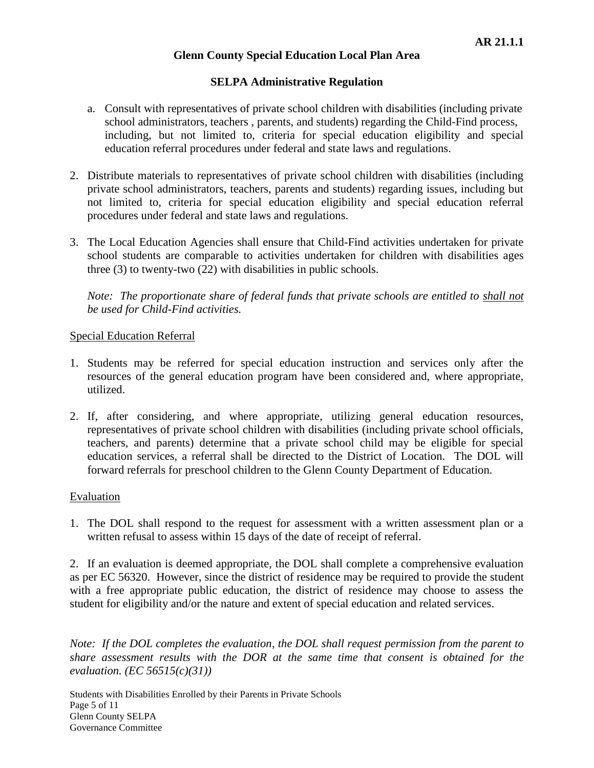## **SELPA Administrative Regulation**

- a. Consult with representatives of private school children with disabilities (including private school administrators, teachers , parents, and students) regarding the Child-Find process, including, but not limited to, criteria for special education eligibility and special education referral procedures under federal and state laws and regulations.
- 2. Distribute materials to representatives of private school children with disabilities (including private school administrators, teachers, parents and students) regarding issues, including but not limited to, criteria for special education eligibility and special education referral procedures under federal and state laws and regulations.
- 3. The Local Education Agencies shall ensure that Child-Find activities undertaken for private school students are comparable to activities undertaken for children with disabilities ages three (3) to twenty-two (22) with disabilities in public schools.

*Note: The proportionate share of federal funds that private schools are entitled to shall not be used for Child-Find activities.*

## Special Education Referral

- 1. Students may be referred for special education instruction and services only after the resources of the general education program have been considered and, where appropriate, utilized.
- 2. If, after considering, and where appropriate, utilizing general education resources, representatives of private school children with disabilities (including private school officials, teachers, and parents) determine that a private school child may be eligible for special education services, a referral shall be directed to the District of Location. The DOL will forward referrals for preschool children to the Glenn County Department of Education.

## Evaluation

1. The DOL shall respond to the request for assessment with a written assessment plan or a written refusal to assess within 15 days of the date of receipt of referral.

2. If an evaluation is deemed appropriate, the DOL shall complete a comprehensive evaluation as per EC 56320. However, since the district of residence may be required to provide the student with a free appropriate public education, the district of residence may choose to assess the student for eligibility and/or the nature and extent of special education and related services.

*Note: If the DOL completes the evaluation, the DOL shall request permission from the parent to share assessment results with the DOR at the same time that consent is obtained for the evaluation. (EC 56515(c)(31))*

Students with Disabilities Enrolled by their Parents in Private Schools Page 5 of 11 Glenn County SELPA Governance Committee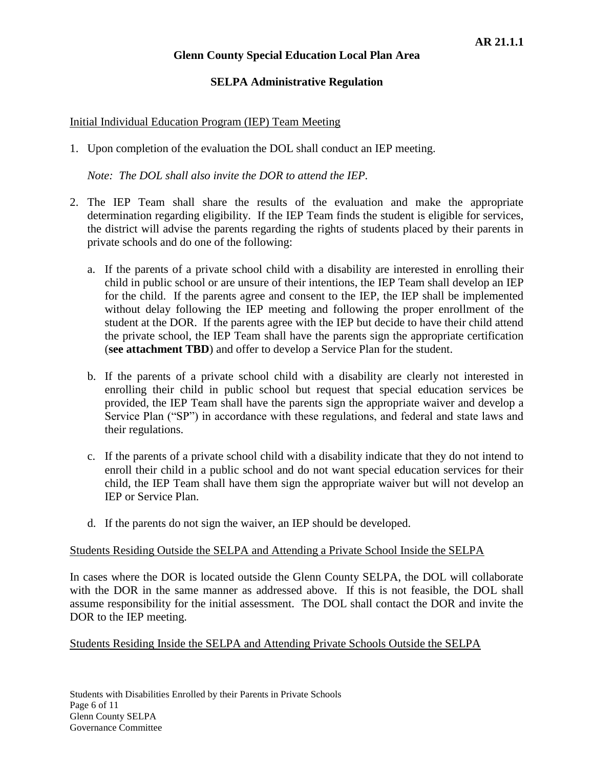## **SELPA Administrative Regulation**

## Initial Individual Education Program (IEP) Team Meeting

1. Upon completion of the evaluation the DOL shall conduct an IEP meeting.

*Note: The DOL shall also invite the DOR to attend the IEP.*

- 2. The IEP Team shall share the results of the evaluation and make the appropriate determination regarding eligibility. If the IEP Team finds the student is eligible for services, the district will advise the parents regarding the rights of students placed by their parents in private schools and do one of the following:
	- a. If the parents of a private school child with a disability are interested in enrolling their child in public school or are unsure of their intentions, the IEP Team shall develop an IEP for the child. If the parents agree and consent to the IEP, the IEP shall be implemented without delay following the IEP meeting and following the proper enrollment of the student at the DOR. If the parents agree with the IEP but decide to have their child attend the private school, the IEP Team shall have the parents sign the appropriate certification (**see attachment TBD**) and offer to develop a Service Plan for the student.
	- b. If the parents of a private school child with a disability are clearly not interested in enrolling their child in public school but request that special education services be provided, the IEP Team shall have the parents sign the appropriate waiver and develop a Service Plan ("SP") in accordance with these regulations, and federal and state laws and their regulations.
	- c. If the parents of a private school child with a disability indicate that they do not intend to enroll their child in a public school and do not want special education services for their child, the IEP Team shall have them sign the appropriate waiver but will not develop an IEP or Service Plan.
	- d. If the parents do not sign the waiver, an IEP should be developed.

#### Students Residing Outside the SELPA and Attending a Private School Inside the SELPA

In cases where the DOR is located outside the Glenn County SELPA, the DOL will collaborate with the DOR in the same manner as addressed above. If this is not feasible, the DOL shall assume responsibility for the initial assessment. The DOL shall contact the DOR and invite the DOR to the IEP meeting.

Students Residing Inside the SELPA and Attending Private Schools Outside the SELPA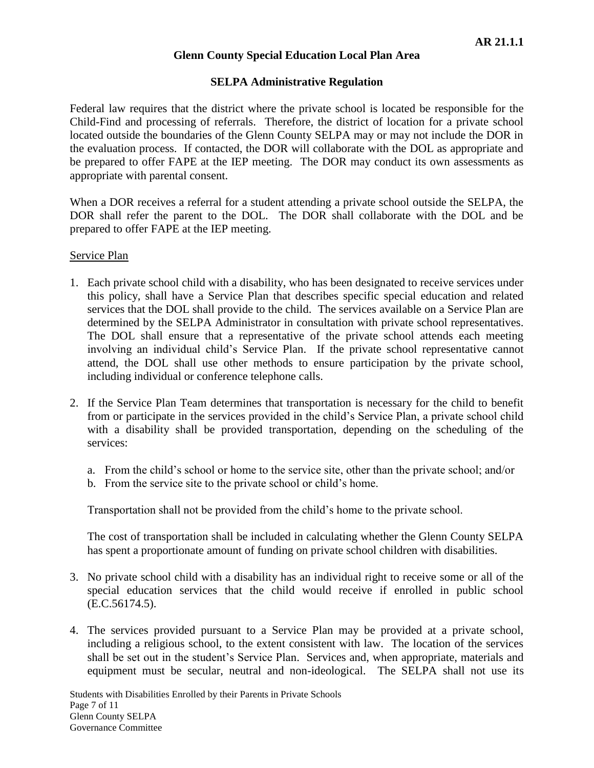## **SELPA Administrative Regulation**

Federal law requires that the district where the private school is located be responsible for the Child-Find and processing of referrals. Therefore, the district of location for a private school located outside the boundaries of the Glenn County SELPA may or may not include the DOR in the evaluation process. If contacted, the DOR will collaborate with the DOL as appropriate and be prepared to offer FAPE at the IEP meeting. The DOR may conduct its own assessments as appropriate with parental consent.

When a DOR receives a referral for a student attending a private school outside the SELPA, the DOR shall refer the parent to the DOL. The DOR shall collaborate with the DOL and be prepared to offer FAPE at the IEP meeting.

## Service Plan

- 1. Each private school child with a disability, who has been designated to receive services under this policy, shall have a Service Plan that describes specific special education and related services that the DOL shall provide to the child. The services available on a Service Plan are determined by the SELPA Administrator in consultation with private school representatives. The DOL shall ensure that a representative of the private school attends each meeting involving an individual child's Service Plan. If the private school representative cannot attend, the DOL shall use other methods to ensure participation by the private school, including individual or conference telephone calls.
- 2. If the Service Plan Team determines that transportation is necessary for the child to benefit from or participate in the services provided in the child's Service Plan, a private school child with a disability shall be provided transportation, depending on the scheduling of the services:
	- a. From the child's school or home to the service site, other than the private school; and/or
	- b. From the service site to the private school or child's home.

Transportation shall not be provided from the child's home to the private school.

The cost of transportation shall be included in calculating whether the Glenn County SELPA has spent a proportionate amount of funding on private school children with disabilities.

- 3. No private school child with a disability has an individual right to receive some or all of the special education services that the child would receive if enrolled in public school (E.C.56174.5).
- 4. The services provided pursuant to a Service Plan may be provided at a private school, including a religious school, to the extent consistent with law. The location of the services shall be set out in the student's Service Plan. Services and, when appropriate, materials and equipment must be secular, neutral and non-ideological. The SELPA shall not use its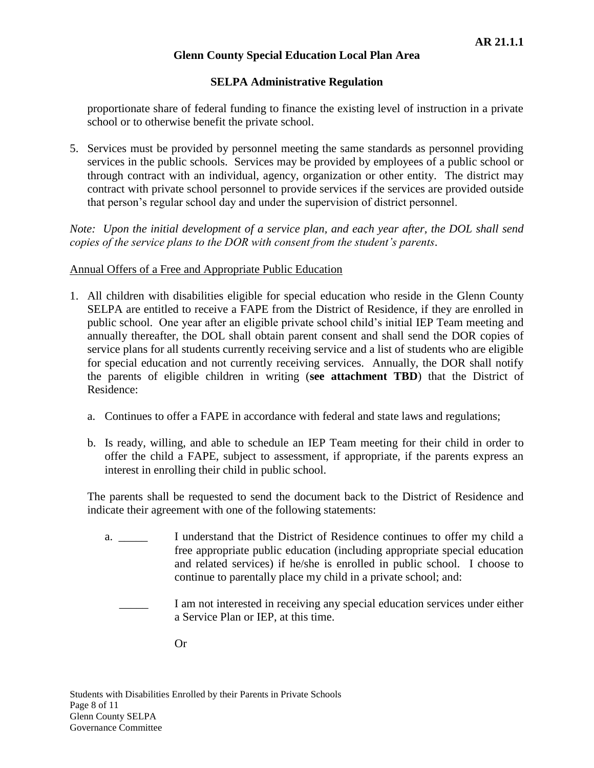# **SELPA Administrative Regulation**

proportionate share of federal funding to finance the existing level of instruction in a private school or to otherwise benefit the private school.

5. Services must be provided by personnel meeting the same standards as personnel providing services in the public schools. Services may be provided by employees of a public school or through contract with an individual, agency, organization or other entity. The district may contract with private school personnel to provide services if the services are provided outside that person's regular school day and under the supervision of district personnel.

*Note: Upon the initial development of a service plan, and each year after, the DOL shall send copies of the service plans to the DOR with consent from the student's parents*.

## Annual Offers of a Free and Appropriate Public Education

- 1. All children with disabilities eligible for special education who reside in the Glenn County SELPA are entitled to receive a FAPE from the District of Residence, if they are enrolled in public school. One year after an eligible private school child's initial IEP Team meeting and annually thereafter, the DOL shall obtain parent consent and shall send the DOR copies of service plans for all students currently receiving service and a list of students who are eligible for special education and not currently receiving services. Annually, the DOR shall notify the parents of eligible children in writing (**see attachment TBD**) that the District of Residence:
	- a. Continues to offer a FAPE in accordance with federal and state laws and regulations;
	- b. Is ready, willing, and able to schedule an IEP Team meeting for their child in order to offer the child a FAPE, subject to assessment, if appropriate, if the parents express an interest in enrolling their child in public school.

The parents shall be requested to send the document back to the District of Residence and indicate their agreement with one of the following statements:

- a. \_\_\_\_\_ I understand that the District of Residence continues to offer my child a free appropriate public education (including appropriate special education and related services) if he/she is enrolled in public school. I choose to continue to parentally place my child in a private school; and:
	- I am not interested in receiving any special education services under either a Service Plan or IEP, at this time.

Or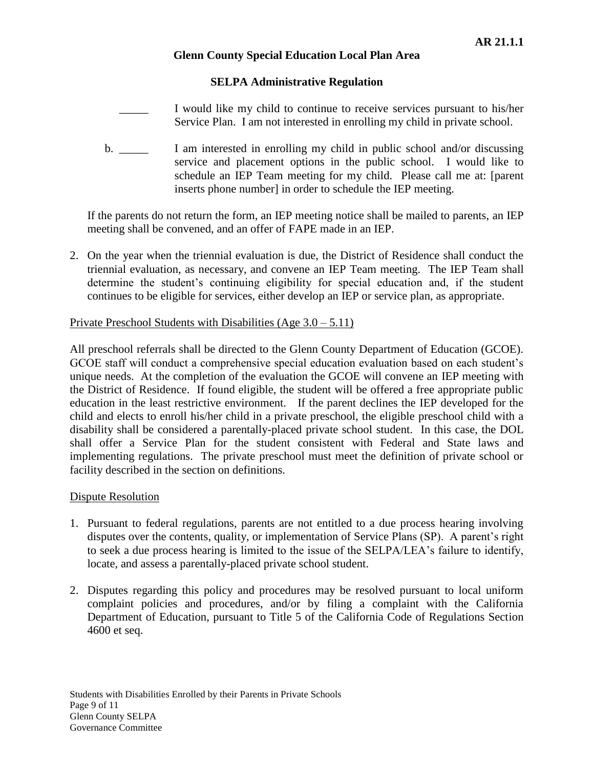## **SELPA Administrative Regulation**

I would like my child to continue to receive services pursuant to his/her Service Plan. I am not interested in enrolling my child in private school.

b. \_\_\_\_\_ I am interested in enrolling my child in public school and/or discussing service and placement options in the public school. I would like to schedule an IEP Team meeting for my child. Please call me at: [parent inserts phone number] in order to schedule the IEP meeting.

If the parents do not return the form, an IEP meeting notice shall be mailed to parents, an IEP meeting shall be convened, and an offer of FAPE made in an IEP.

2. On the year when the triennial evaluation is due, the District of Residence shall conduct the triennial evaluation, as necessary, and convene an IEP Team meeting. The IEP Team shall determine the student's continuing eligibility for special education and, if the student continues to be eligible for services, either develop an IEP or service plan, as appropriate.

# Private Preschool Students with Disabilities  $(Age 3.0 - 5.11)$

All preschool referrals shall be directed to the Glenn County Department of Education (GCOE). GCOE staff will conduct a comprehensive special education evaluation based on each student's unique needs. At the completion of the evaluation the GCOE will convene an IEP meeting with the District of Residence. If found eligible, the student will be offered a free appropriate public education in the least restrictive environment. If the parent declines the IEP developed for the child and elects to enroll his/her child in a private preschool, the eligible preschool child with a disability shall be considered a parentally-placed private school student. In this case, the DOL shall offer a Service Plan for the student consistent with Federal and State laws and implementing regulations. The private preschool must meet the definition of private school or facility described in the section on definitions.

## Dispute Resolution

- 1. Pursuant to federal regulations, parents are not entitled to a due process hearing involving disputes over the contents, quality, or implementation of Service Plans (SP). A parent's right to seek a due process hearing is limited to the issue of the SELPA/LEA's failure to identify, locate, and assess a parentally-placed private school student.
- 2. Disputes regarding this policy and procedures may be resolved pursuant to local uniform complaint policies and procedures, and/or by filing a complaint with the California Department of Education, pursuant to Title 5 of the California Code of Regulations Section 4600 et seq.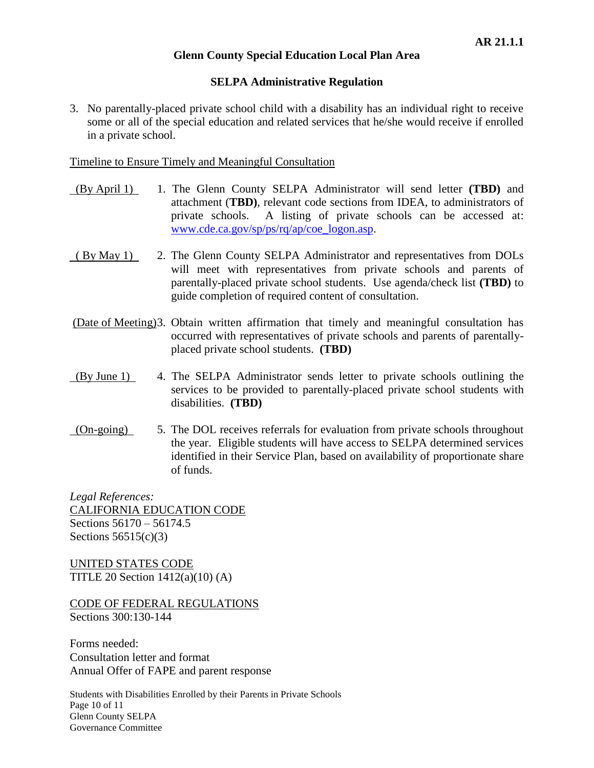#### **SELPA Administrative Regulation**

3. No parentally-placed private school child with a disability has an individual right to receive some or all of the special education and related services that he/she would receive if enrolled in a private school.

Timeline to Ensure Timely and Meaningful Consultation

- (By April 1) 1. The Glenn County SELPA Administrator will send letter **(TBD)** and attachment (**TBD)**, relevant code sections from IDEA, to administrators of private schools. A listing of private schools can be accessed at: [www.cde.ca.gov/sp/ps/rq/ap/coe\\_logon.asp.](http://www.cde.ca.gov/sp/ps/rq/ap/coe_logon.asp)
- ( By May 1) 2. The Glenn County SELPA Administrator and representatives from DOLs will meet with representatives from private schools and parents of parentally-placed private school students. Use agenda/check list **(TBD)** to guide completion of required content of consultation.
- (Date of Meeting)3. Obtain written affirmation that timely and meaningful consultation has occurred with representatives of private schools and parents of parentallyplaced private school students. **(TBD)**
- (By June 1) 4. The SELPA Administrator sends letter to private schools outlining the services to be provided to parentally-placed private school students with disabilities. **(TBD)**
- (On-going) 5. The DOL receives referrals for evaluation from private schools throughout the year. Eligible students will have access to SELPA determined services identified in their Service Plan, based on availability of proportionate share of funds.

*Legal References:* CALIFORNIA EDUCATION CODE Sections 56170 – 56174.5 Sections 56515(c)(3)

UNITED STATES CODE TITLE 20 Section 1412(a)(10) (A)

CODE OF FEDERAL REGULATIONS Sections 300:130-144

Forms needed: Consultation letter and format Annual Offer of FAPE and parent response

Students with Disabilities Enrolled by their Parents in Private Schools Page 10 of 11 Glenn County SELPA Governance Committee